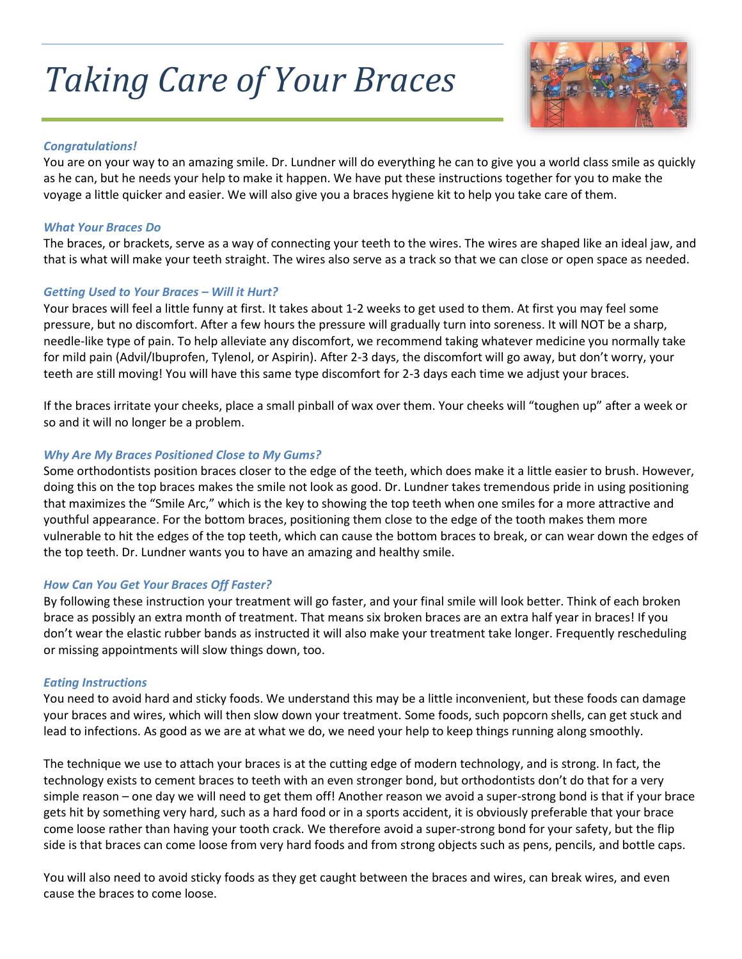# *Taking Care of Your Braces*



#### *Congratulations!*

You are on your way to an amazing smile. Dr. Lundner will do everything he can to give you a world class smile as quickly as he can, but he needs your help to make it happen. We have put these instructions together for you to make the voyage a little quicker and easier. We will also give you a braces hygiene kit to help you take care of them.

#### *What Your Braces Do*

The braces, or brackets, serve as a way of connecting your teeth to the wires. The wires are shaped like an ideal jaw, and that is what will make your teeth straight. The wires also serve as a track so that we can close or open space as needed.

#### *Getting Used to Your Braces – Will it Hurt?*

Your braces will feel a little funny at first. It takes about 1-2 weeks to get used to them. At first you may feel some pressure, but no discomfort. After a few hours the pressure will gradually turn into soreness. It will NOT be a sharp, needle-like type of pain. To help alleviate any discomfort, we recommend taking whatever medicine you normally take for mild pain (Advil/Ibuprofen, Tylenol, or Aspirin). After 2-3 days, the discomfort will go away, but don't worry, your teeth are still moving! You will have this same type discomfort for 2-3 days each time we adjust your braces.

If the braces irritate your cheeks, place a small pinball of wax over them. Your cheeks will "toughen up" after a week or so and it will no longer be a problem.

# *Why Are My Braces Positioned Close to My Gums?*

Some orthodontists position braces closer to the edge of the teeth, which does make it a little easier to brush. However, doing this on the top braces makes the smile not look as good. Dr. Lundner takes tremendous pride in using positioning that maximizes the "Smile Arc," which is the key to showing the top teeth when one smiles for a more attractive and youthful appearance. For the bottom braces, positioning them close to the edge of the tooth makes them more vulnerable to hit the edges of the top teeth, which can cause the bottom braces to break, or can wear down the edges of the top teeth. Dr. Lundner wants you to have an amazing and healthy smile.

#### *How Can You Get Your Braces Off Faster?*

By following these instruction your treatment will go faster, and your final smile will look better. Think of each broken brace as possibly an extra month of treatment. That means six broken braces are an extra half year in braces! If you don't wear the elastic rubber bands as instructed it will also make your treatment take longer. Frequently rescheduling or missing appointments will slow things down, too.

#### *Eating Instructions*

You need to avoid hard and sticky foods. We understand this may be a little inconvenient, but these foods can damage your braces and wires, which will then slow down your treatment. Some foods, such popcorn shells, can get stuck and lead to infections. As good as we are at what we do, we need your help to keep things running along smoothly.

The technique we use to attach your braces is at the cutting edge of modern technology, and is strong. In fact, the technology exists to cement braces to teeth with an even stronger bond, but orthodontists don't do that for a very simple reason – one day we will need to get them off! Another reason we avoid a super-strong bond is that if your brace gets hit by something very hard, such as a hard food or in a sports accident, it is obviously preferable that your brace come loose rather than having your tooth crack. We therefore avoid a super-strong bond for your safety, but the flip side is that braces can come loose from very hard foods and from strong objects such as pens, pencils, and bottle caps.

You will also need to avoid sticky foods as they get caught between the braces and wires, can break wires, and even cause the braces to come loose.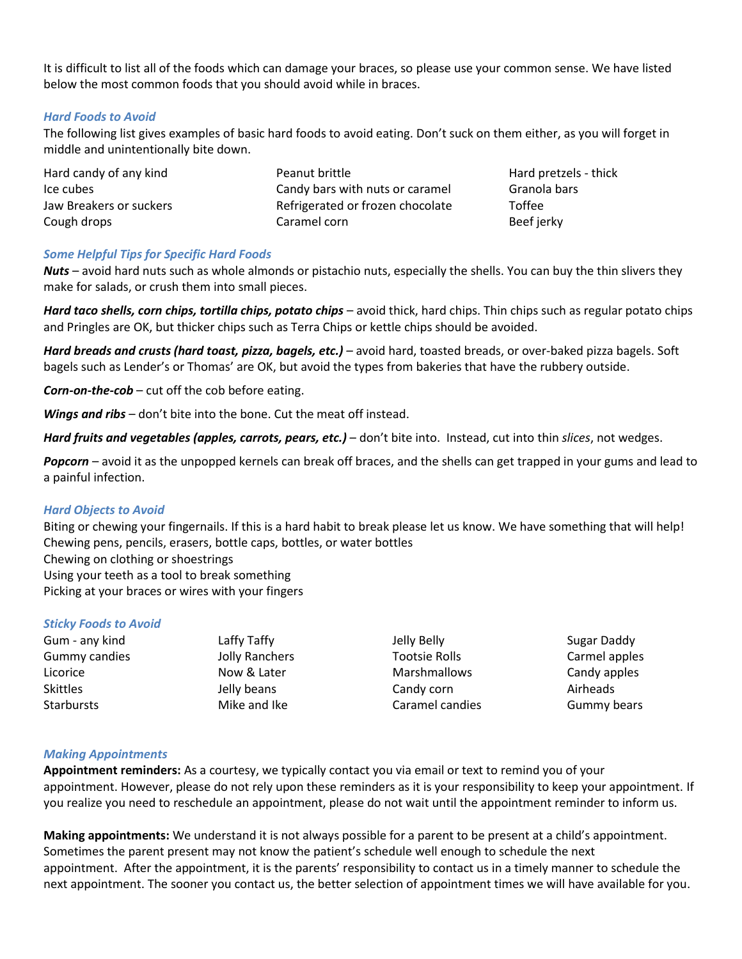It is difficult to list all of the foods which can damage your braces, so please use your common sense. We have listed below the most common foods that you should avoid while in braces.

# *Hard Foods to Avoid*

The following list gives examples of basic hard foods to avoid eating. Don't suck on them either, as you will forget in middle and unintentionally bite down.

| Hard candy of any kind  | Peanut brittle                   | Hard pretzels - thick |
|-------------------------|----------------------------------|-----------------------|
| Ice cubes               | Candy bars with nuts or caramel  | Granola bars          |
| Jaw Breakers or suckers | Refrigerated or frozen chocolate | Toffee                |
| Cough drops             | Caramel corn                     | Beef jerky            |

# *Some Helpful Tips for Specific Hard Foods*

*Nuts* – avoid hard nuts such as whole almonds or pistachio nuts, especially the shells. You can buy the thin slivers they make for salads, or crush them into small pieces.

*Hard taco shells, corn chips, tortilla chips, potato chips* – avoid thick, hard chips. Thin chips such as regular potato chips and Pringles are OK, but thicker chips such as Terra Chips or kettle chips should be avoided.

*Hard breads and crusts (hard toast, pizza, bagels, etc.) –* avoid hard, toasted breads, or over-baked pizza bagels. Soft bagels such as Lender's or Thomas' are OK, but avoid the types from bakeries that have the rubbery outside.

*Corn-on-the-cob* – cut off the cob before eating.

*Wings and ribs* – don't bite into the bone. Cut the meat off instead.

*Hard fruits and vegetables (apples, carrots, pears, etc.)* – don't bite into. Instead, cut into thin *slices*, not wedges.

*Popcorn* – avoid it as the unpopped kernels can break off braces, and the shells can get trapped in your gums and lead to a painful infection.

# *Hard Objects to Avoid*

Biting or chewing your fingernails. If this is a hard habit to break please let us know. We have something that will help! Chewing pens, pencils, erasers, bottle caps, bottles, or water bottles Chewing on clothing or shoestrings Using your teeth as a tool to break something Picking at your braces or wires with your fingers

# *Sticky Foods to Avoid*

| Gum - any kind       |  |
|----------------------|--|
| <b>Gummy candies</b> |  |
| Licorice             |  |
| <b>Skittles</b>      |  |
| <b>Starbursts</b>    |  |

Laffy Taffy Jolly Ranchers Now & Later Jelly beans Mike and Ike

Jelly Belly Tootsie Rolls Marshmallows Candy corn Caramel candies

Sugar Daddy Carmel apples Candy apples Airheads Gummy bears

# *Making Appointments*

**Appointment reminders:** As a courtesy, we typically contact you via email or text to remind you of your appointment. However, please do not rely upon these reminders as it is your responsibility to keep your appointment. If you realize you need to reschedule an appointment, please do not wait until the appointment reminder to inform us.

**Making appointments:** We understand it is not always possible for a parent to be present at a child's appointment. Sometimes the parent present may not know the patient's schedule well enough to schedule the next appointment. After the appointment, it is the parents' responsibility to contact us in a timely manner to schedule the next appointment. The sooner you contact us, the better selection of appointment times we will have available for you.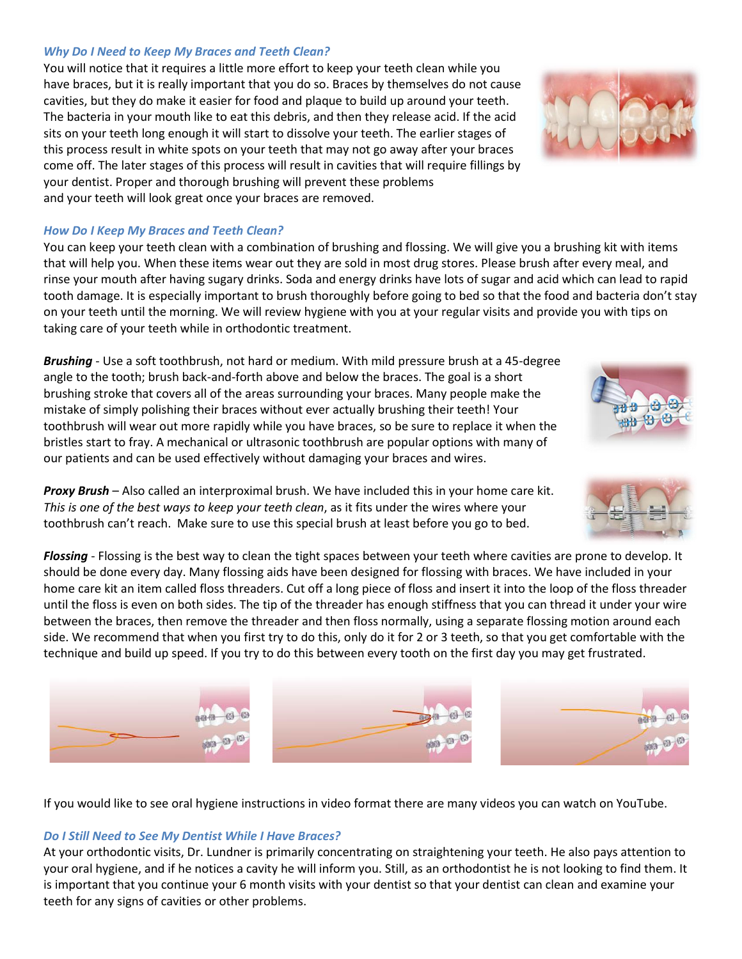#### *Why Do I Need to Keep My Braces and Teeth Clean?*

You will notice that it requires a little more effort to keep your teeth clean while you have braces, but it is really important that you do so. Braces by themselves do not cause cavities, but they do make it easier for food and plaque to build up around your teeth. The bacteria in your mouth like to eat this debris, and then they release acid. If the acid sits on your teeth long enough it will start to dissolve your teeth. The earlier stages of this process result in white spots on your teeth that may not go away after your braces come off. The later stages of this process will result in cavities that will require fillings by your dentist. Proper and thorough brushing will prevent these problems and your teeth will look great once your braces are removed.

#### *How Do I Keep My Braces and Teeth Clean?*

You can keep your teeth clean with a combination of brushing and flossing. We will give you a brushing kit with items that will help you. When these items wear out they are sold in most drug stores. Please brush after every meal, and rinse your mouth after having sugary drinks. Soda and energy drinks have lots of sugar and acid which can lead to rapid tooth damage. It is especially important to brush thoroughly before going to bed so that the food and bacteria don't stay on your teeth until the morning. We will review hygiene with you at your regular visits and provide you with tips on taking care of your teeth while in orthodontic treatment.

*Brushing* - Use a soft toothbrush, not hard or medium. With mild pressure brush at a 45-degree angle to the tooth; brush back-and-forth above and below the braces. The goal is a short brushing stroke that covers all of the areas surrounding your braces. Many people make the mistake of simply polishing their braces without ever actually brushing their teeth! Your toothbrush will wear out more rapidly while you have braces, so be sure to replace it when the bristles start to fray. A mechanical or ultrasonic toothbrush are popular options with many of our patients and can be used effectively without damaging your braces and wires.

*Proxy Brush* – Also called an interproximal brush. We have included this in your home care kit. *This is one of the best ways to keep your teeth clean*, as it fits under the wires where your toothbrush can't reach. Make sure to use this special brush at least before you go to bed.

*Flossing* - Flossing is the best way to clean the tight spaces between your teeth where cavities are prone to develop. It should be done every day. Many flossing aids have been designed for flossing with braces. We have included in your home care kit an item called floss threaders. Cut off a long piece of floss and insert it into the loop of the floss threader until the floss is even on both sides. The tip of the threader has enough stiffness that you can thread it under your wire between the braces, then remove the threader and then floss normally, using a separate flossing motion around each side. We recommend that when you first try to do this, only do it for 2 or 3 teeth, so that you get comfortable with the technique and build up speed. If you try to do this between every tooth on the first day you may get frustrated.

If you would like to see oral hygiene instructions in video format there are many videos you can watch on YouTube.

# *Do I Still Need to See My Dentist While I Have Braces?*

 $\bigoplus$ 

At your orthodontic visits, Dr. Lundner is primarily concentrating on straightening your teeth. He also pays attention to your oral hygiene, and if he notices a cavity he will inform you. Still, as an orthodontist he is not looking to find them. It is important that you continue your 6 month visits with your dentist so that your dentist can clean and examine your teeth for any signs of cavities or other problems.







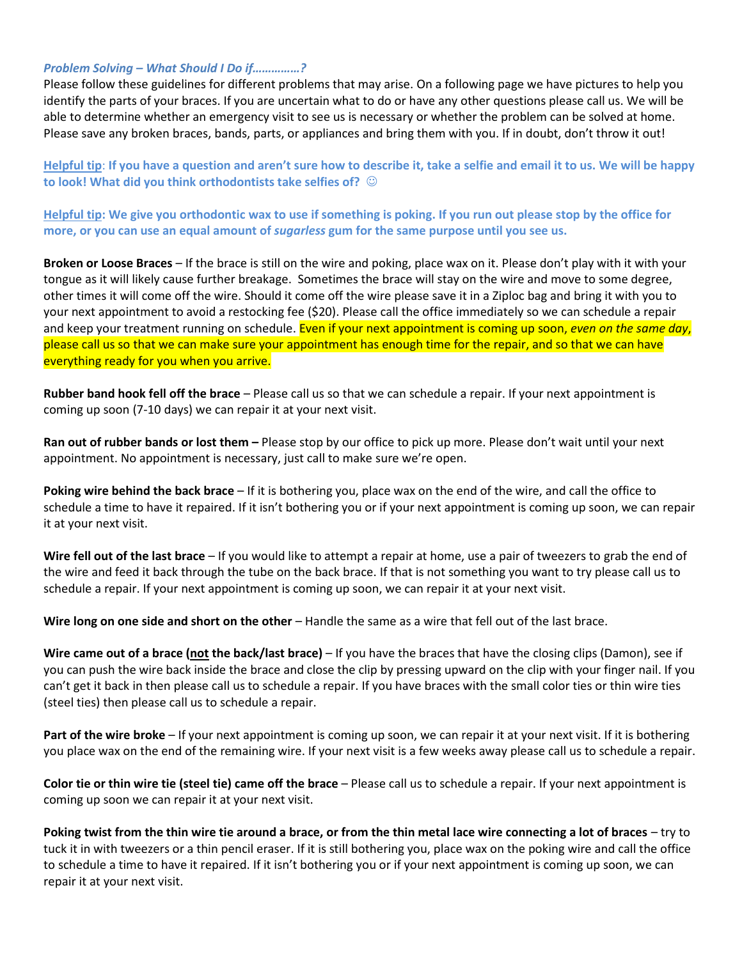#### *Problem Solving – What Should I Do if……………?*

Please follow these guidelines for different problems that may arise. On a following page we have pictures to help you identify the parts of your braces. If you are uncertain what to do or have any other questions please call us. We will be able to determine whether an emergency visit to see us is necessary or whether the problem can be solved at home. Please save any broken braces, bands, parts, or appliances and bring them with you. If in doubt, don't throw it out!

**Helpful tip**: **If you have a question and aren't sure how to describe it, take a selfie and email it to us. We will be happy to look! What did you think orthodontists take selfies of?**  $\odot$ 

**Helpful tip: We give you orthodontic wax to use if something is poking. If you run out please stop by the office for more, or you can use an equal amount of** *sugarless* **gum for the same purpose until you see us.**

**Broken or Loose Braces** – If the brace is still on the wire and poking, place wax on it. Please don't play with it with your tongue as it will likely cause further breakage. Sometimes the brace will stay on the wire and move to some degree, other times it will come off the wire. Should it come off the wire please save it in a Ziploc bag and bring it with you to your next appointment to avoid a restocking fee (\$20). Please call the office immediately so we can schedule a repair and keep your treatment running on schedule. Even if your next appointment is coming up soon, *even on the same day*, please call us so that we can make sure your appointment has enough time for the repair, and so that we can have everything ready for you when you arrive.

**Rubber band hook fell off the brace** – Please call us so that we can schedule a repair. If your next appointment is coming up soon (7-10 days) we can repair it at your next visit.

**Ran out of rubber bands or lost them –** Please stop by our office to pick up more. Please don't wait until your next appointment. No appointment is necessary, just call to make sure we're open.

**Poking wire behind the back brace** – If it is bothering you, place wax on the end of the wire, and call the office to schedule a time to have it repaired. If it isn't bothering you or if your next appointment is coming up soon, we can repair it at your next visit.

**Wire fell out of the last brace** – If you would like to attempt a repair at home, use a pair of tweezers to grab the end of the wire and feed it back through the tube on the back brace. If that is not something you want to try please call us to schedule a repair. If your next appointment is coming up soon, we can repair it at your next visit.

**Wire long on one side and short on the other** – Handle the same as a wire that fell out of the last brace.

**Wire came out of a brace (not the back/last brace)** – If you have the braces that have the closing clips (Damon), see if you can push the wire back inside the brace and close the clip by pressing upward on the clip with your finger nail. If you can't get it back in then please call us to schedule a repair. If you have braces with the small color ties or thin wire ties (steel ties) then please call us to schedule a repair.

**Part of the wire broke** – If your next appointment is coming up soon, we can repair it at your next visit. If it is bothering you place wax on the end of the remaining wire. If your next visit is a few weeks away please call us to schedule a repair.

**Color tie or thin wire tie (steel tie) came off the brace** – Please call us to schedule a repair. If your next appointment is coming up soon we can repair it at your next visit.

**Poking twist from the thin wire tie around a brace, or from the thin metal lace wire connecting a lot of braces** – try to tuck it in with tweezers or a thin pencil eraser. If it is still bothering you, place wax on the poking wire and call the office to schedule a time to have it repaired. If it isn't bothering you or if your next appointment is coming up soon, we can repair it at your next visit.